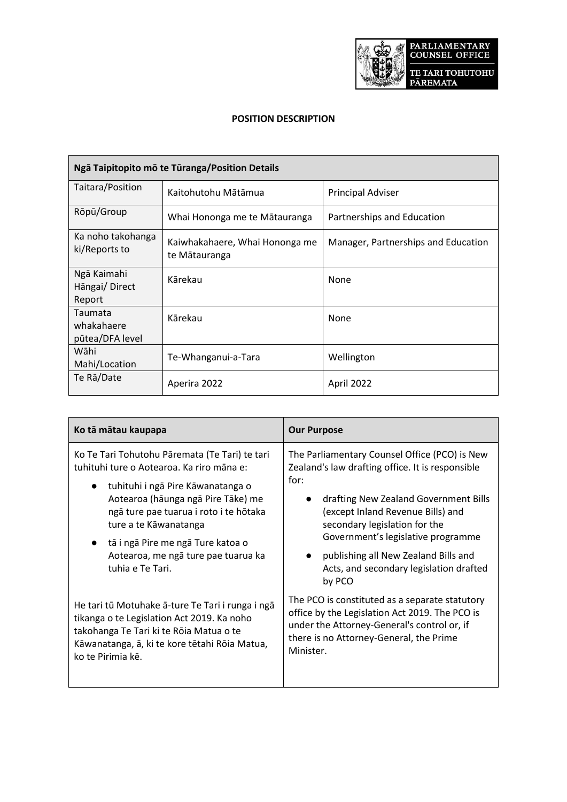

## **POSITION DESCRIPTION**

| Ngā Taipitopito mō te Tūranga/Position Details |                                                 |                                     |
|------------------------------------------------|-------------------------------------------------|-------------------------------------|
| Taitara/Position                               | Kaitohutohu Mātāmua                             | <b>Principal Adviser</b>            |
| Rōpū/Group                                     | Whai Hononga me te Mātauranga                   | Partnerships and Education          |
| Ka noho takohanga<br>ki/Reports to             | Kaiwhakahaere, Whai Hononga me<br>te Mātauranga | Manager, Partnerships and Education |
| Ngā Kaimahi<br>Hāngai/Direct<br>Report         | Kārekau                                         | None                                |
| Taumata<br>whakahaere<br>pūtea/DFA level       | Kārekau                                         | None                                |
| Wāhi<br>Mahi/Location                          | Te-Whanganui-a-Tara                             | Wellington                          |
| Te Rā/Date                                     | Aperira 2022                                    | April 2022                          |

| Ko tā mātau kaupapa                                                                                                                                                                                                                                                                                                                       | <b>Our Purpose</b>                                                                                                                                                                                                                                                                                                                                          |
|-------------------------------------------------------------------------------------------------------------------------------------------------------------------------------------------------------------------------------------------------------------------------------------------------------------------------------------------|-------------------------------------------------------------------------------------------------------------------------------------------------------------------------------------------------------------------------------------------------------------------------------------------------------------------------------------------------------------|
| Ko Te Tari Tohutohu Pāremata (Te Tari) te tari<br>tuhituhi ture o Aotearoa. Ka riro māna e:<br>tuhituhi i ngā Pire Kāwanatanga o<br>Aotearoa (hāunga ngā Pire Tāke) me<br>ngā ture pae tuarua i roto i te hōtaka<br>ture a te Kāwanatanga<br>tā i ngā Pire me ngā Ture katoa o<br>Aotearoa, me ngā ture pae tuarua ka<br>tuhia e Te Tari. | The Parliamentary Counsel Office (PCO) is New<br>Zealand's law drafting office. It is responsible<br>for:<br>drafting New Zealand Government Bills<br>(except Inland Revenue Bills) and<br>secondary legislation for the<br>Government's legislative programme<br>publishing all New Zealand Bills and<br>Acts, and secondary legislation drafted<br>by PCO |
| He tari tū Motuhake ā-ture Te Tari i runga i ngā<br>tikanga o te Legislation Act 2019. Ka noho<br>takohanga Te Tari ki te Rōia Matua o te<br>Kāwanatanga, ā, ki te kore tētahi Rōia Matua,<br>ko te Pirimia kē.                                                                                                                           | The PCO is constituted as a separate statutory<br>office by the Legislation Act 2019. The PCO is<br>under the Attorney-General's control or, if<br>there is no Attorney-General, the Prime<br>Minister.                                                                                                                                                     |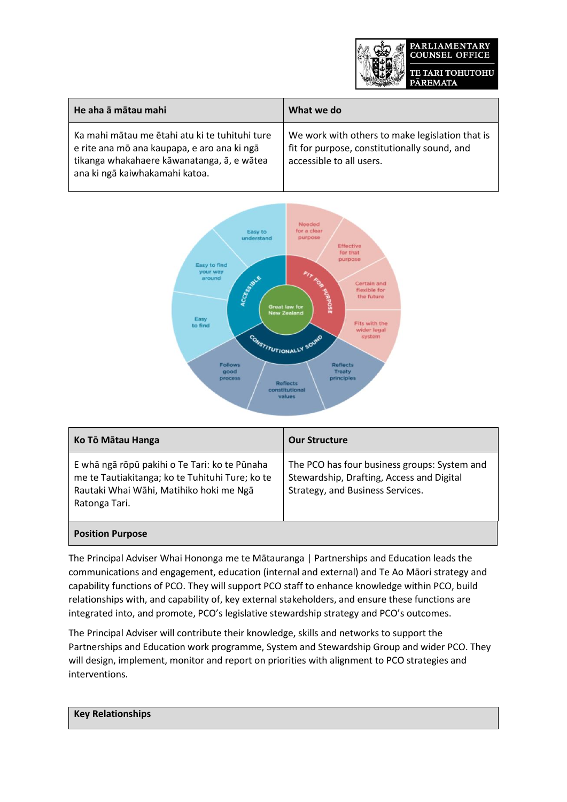

| He aha ā mātau mahi                                                                                                                                                           | What we do                                                                                                                  |
|-------------------------------------------------------------------------------------------------------------------------------------------------------------------------------|-----------------------------------------------------------------------------------------------------------------------------|
| Ka mahi mātau me ētahi atu ki te tuhituhi ture<br>e rite ana mō ana kaupapa, e aro ana ki ngā<br>tikanga whakahaere kāwanatanga, ā, e wātea<br>ana ki ngā kaiwhakamahi katoa. | We work with others to make legislation that is<br>fit for purpose, constitutionally sound, and<br>accessible to all users. |



| Ko Tō Mātau Hanga                                                                                                                                            | <b>Our Structure</b>                                                                                                          |
|--------------------------------------------------------------------------------------------------------------------------------------------------------------|-------------------------------------------------------------------------------------------------------------------------------|
| E whā ngā rōpū pakihi o Te Tari: ko te Pūnaha<br>me te Tautiakitanga; ko te Tuhituhi Ture; ko te<br>Rautaki Whai Wāhi, Matihiko hoki me Ngā<br>Ratonga Tari. | The PCO has four business groups: System and<br>Stewardship, Drafting, Access and Digital<br>Strategy, and Business Services. |
| <b>Position Purpose</b>                                                                                                                                      |                                                                                                                               |

The Principal Adviser Whai Hononga me te Mātauranga | Partnerships and Education leads the communications and engagement, education (internal and external) and Te Ao Māori strategy and capability functions of PCO. They will support PCO staff to enhance knowledge within PCO, build relationships with, and capability of, key external stakeholders, and ensure these functions are integrated into, and promote, PCO's legislative stewardship strategy and PCO's outcomes.

The Principal Adviser will contribute their knowledge, skills and networks to support the Partnerships and Education work programme, System and Stewardship Group and wider PCO. They will design, implement, monitor and report on priorities with alignment to PCO strategies and interventions.

**Key Relationships**

 $\mathbf{L}$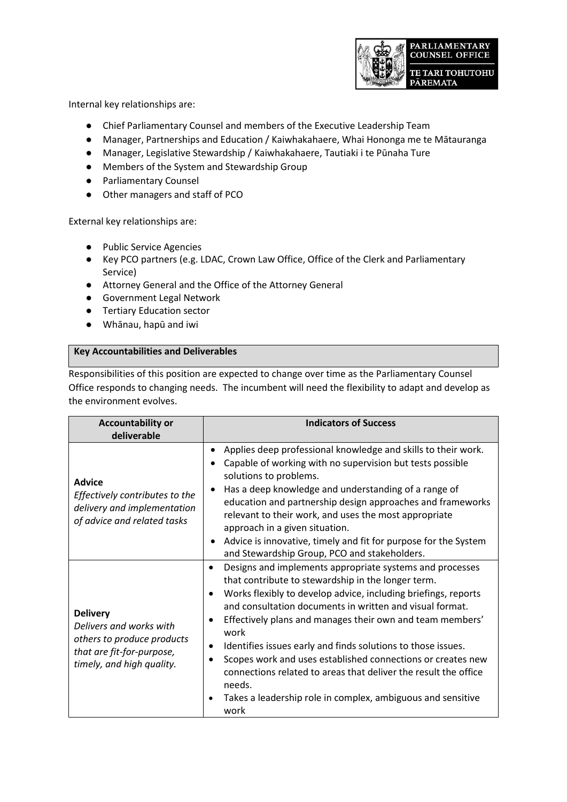

Internal key relationships are:

- Chief Parliamentary Counsel and members of the Executive Leadership Team
- Manager, Partnerships and Education / Kaiwhakahaere, Whai Hononga me te Mātauranga
- Manager, Legislative Stewardship / Kaiwhakahaere, Tautiaki i te Pūnaha Ture
- Members of the System and Stewardship Group
- Parliamentary Counsel
- Other managers and staff of PCO

External key relationships are:

- Public Service Agencies
- Key PCO partners (e.g. LDAC, Crown Law Office, Office of the Clerk and Parliamentary Service)
- Attorney General and the Office of the Attorney General
- Government Legal Network
- Tertiary Education sector
- Whānau, hapū and iwi

## **Key Accountabilities and Deliverables**

Responsibilities of this position are expected to change over time as the Parliamentary Counsel Office responds to changing needs. The incumbent will need the flexibility to adapt and develop as the environment evolves.

| <b>Accountability or</b><br>deliverable                                                                                            | <b>Indicators of Success</b>                                                                                                                                                                                                                                                                                                                                                                                                                                                                                                                                                                         |
|------------------------------------------------------------------------------------------------------------------------------------|------------------------------------------------------------------------------------------------------------------------------------------------------------------------------------------------------------------------------------------------------------------------------------------------------------------------------------------------------------------------------------------------------------------------------------------------------------------------------------------------------------------------------------------------------------------------------------------------------|
| <b>Advice</b><br>Effectively contributes to the<br>delivery and implementation<br>of advice and related tasks                      | Applies deep professional knowledge and skills to their work.<br>$\bullet$<br>Capable of working with no supervision but tests possible<br>solutions to problems.<br>Has a deep knowledge and understanding of a range of<br>education and partnership design approaches and frameworks<br>relevant to their work, and uses the most appropriate<br>approach in a given situation.                                                                                                                                                                                                                   |
|                                                                                                                                    | Advice is innovative, timely and fit for purpose for the System<br>and Stewardship Group, PCO and stakeholders.                                                                                                                                                                                                                                                                                                                                                                                                                                                                                      |
| <b>Delivery</b><br>Delivers and works with<br>others to produce products<br>that are fit-for-purpose,<br>timely, and high quality. | Designs and implements appropriate systems and processes<br>that contribute to stewardship in the longer term.<br>Works flexibly to develop advice, including briefings, reports<br>and consultation documents in written and visual format.<br>Effectively plans and manages their own and team members'<br>work<br>Identifies issues early and finds solutions to those issues.<br>Scopes work and uses established connections or creates new<br>connections related to areas that deliver the result the office<br>needs.<br>Takes a leadership role in complex, ambiguous and sensitive<br>work |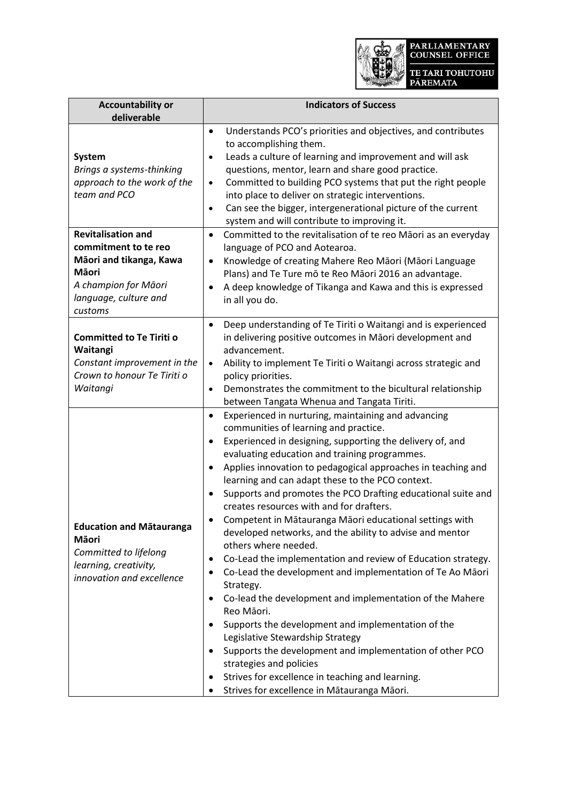

| <b>Accountability or</b>                                                                                                                                                                                                                    | <b>Indicators of Success</b>                                                                                                                                                                                                                                                                                                                                                                                                                                                                                                                                                                                                                                                                                                                                                                                                                                                                                                                                                                                                                                                                                                                  |
|---------------------------------------------------------------------------------------------------------------------------------------------------------------------------------------------------------------------------------------------|-----------------------------------------------------------------------------------------------------------------------------------------------------------------------------------------------------------------------------------------------------------------------------------------------------------------------------------------------------------------------------------------------------------------------------------------------------------------------------------------------------------------------------------------------------------------------------------------------------------------------------------------------------------------------------------------------------------------------------------------------------------------------------------------------------------------------------------------------------------------------------------------------------------------------------------------------------------------------------------------------------------------------------------------------------------------------------------------------------------------------------------------------|
| deliverable                                                                                                                                                                                                                                 |                                                                                                                                                                                                                                                                                                                                                                                                                                                                                                                                                                                                                                                                                                                                                                                                                                                                                                                                                                                                                                                                                                                                               |
| <b>System</b><br>Brings a systems-thinking<br>approach to the work of the<br>team and PCO<br><b>Revitalisation and</b><br>commitment to te reo<br>Māori and tikanga, Kawa<br><b>M</b> aori<br>A champion for Māori<br>language, culture and | Understands PCO's priorities and objectives, and contributes<br>$\bullet$<br>to accomplishing them.<br>Leads a culture of learning and improvement and will ask<br>$\bullet$<br>questions, mentor, learn and share good practice.<br>Committed to building PCO systems that put the right people<br>$\bullet$<br>into place to deliver on strategic interventions.<br>Can see the bigger, intergenerational picture of the current<br>$\bullet$<br>system and will contribute to improving it.<br>Committed to the revitalisation of te reo Māori as an everyday<br>$\bullet$<br>language of PCO and Aotearoa.<br>Knowledge of creating Mahere Reo Māori (Māori Language<br>$\bullet$<br>Plans) and Te Ture mō te Reo Māori 2016 an advantage.<br>A deep knowledge of Tikanga and Kawa and this is expressed<br>in all you do.                                                                                                                                                                                                                                                                                                                |
| customs                                                                                                                                                                                                                                     |                                                                                                                                                                                                                                                                                                                                                                                                                                                                                                                                                                                                                                                                                                                                                                                                                                                                                                                                                                                                                                                                                                                                               |
| <b>Committed to Te Tiriti o</b><br>Waitangi<br>Constant improvement in the<br>Crown to honour Te Tiriti o<br>Waitangi                                                                                                                       | Deep understanding of Te Tiriti o Waitangi and is experienced<br>$\bullet$<br>in delivering positive outcomes in Māori development and<br>advancement.<br>Ability to implement Te Tiriti o Waitangi across strategic and<br>$\bullet$<br>policy priorities.<br>Demonstrates the commitment to the bicultural relationship<br>$\bullet$<br>between Tangata Whenua and Tangata Tiriti.                                                                                                                                                                                                                                                                                                                                                                                                                                                                                                                                                                                                                                                                                                                                                          |
| <b>Education and Matauranga</b><br>Māori<br>Committed to lifelong<br>learning, creativity,<br>innovation and excellence                                                                                                                     | Experienced in nurturing, maintaining and advancing<br>$\bullet$<br>communities of learning and practice.<br>Experienced in designing, supporting the delivery of, and<br>$\bullet$<br>evaluating education and training programmes.<br>Applies innovation to pedagogical approaches in teaching and<br>learning and can adapt these to the PCO context.<br>Supports and promotes the PCO Drafting educational suite and<br>$\bullet$<br>creates resources with and for drafters.<br>Competent in Mātauranga Māori educational settings with<br>developed networks, and the ability to advise and mentor<br>others where needed.<br>Co-Lead the implementation and review of Education strategy.<br>٠<br>Co-Lead the development and implementation of Te Ao Māori<br>Strategy.<br>Co-lead the development and implementation of the Mahere<br>Reo Māori.<br>Supports the development and implementation of the<br>Legislative Stewardship Strategy<br>Supports the development and implementation of other PCO<br>strategies and policies<br>Strives for excellence in teaching and learning.<br>Strives for excellence in Mātauranga Māori. |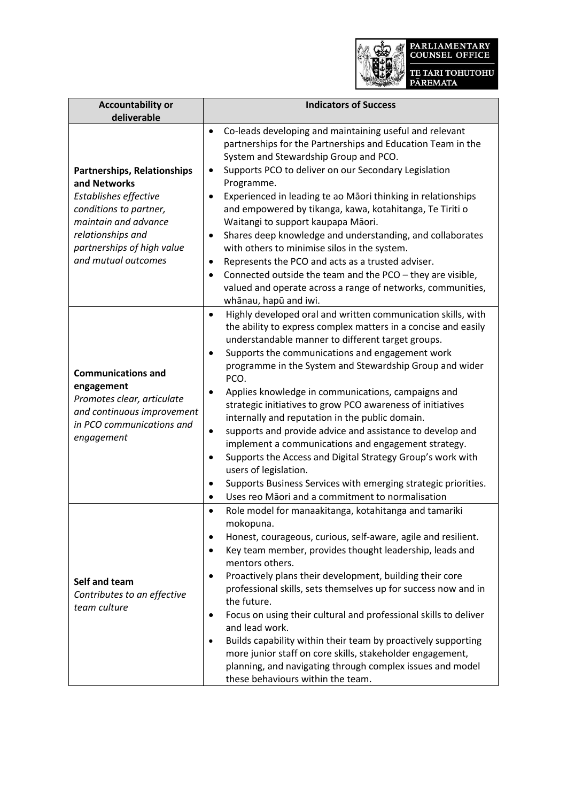

| <b>Accountability or</b><br>deliverable                                                                                                                                                                 | <b>Indicators of Success</b>                                                                                                                                                                                                                                                                                                                                                                                                                                                                                                                                                                                                                                                                                                                                                                                                                                    |
|---------------------------------------------------------------------------------------------------------------------------------------------------------------------------------------------------------|-----------------------------------------------------------------------------------------------------------------------------------------------------------------------------------------------------------------------------------------------------------------------------------------------------------------------------------------------------------------------------------------------------------------------------------------------------------------------------------------------------------------------------------------------------------------------------------------------------------------------------------------------------------------------------------------------------------------------------------------------------------------------------------------------------------------------------------------------------------------|
| <b>Partnerships, Relationships</b><br>and Networks<br>Establishes effective<br>conditions to partner,<br>maintain and advance<br>relationships and<br>partnerships of high value<br>and mutual outcomes | Co-leads developing and maintaining useful and relevant<br>$\bullet$<br>partnerships for the Partnerships and Education Team in the<br>System and Stewardship Group and PCO.<br>Supports PCO to deliver on our Secondary Legislation<br>Programme.<br>Experienced in leading te ao Māori thinking in relationships<br>$\bullet$<br>and empowered by tikanga, kawa, kotahitanga, Te Tiriti o<br>Waitangi to support kaupapa Māori.<br>Shares deep knowledge and understanding, and collaborates<br>٠<br>with others to minimise silos in the system.<br>Represents the PCO and acts as a trusted adviser.<br>$\bullet$<br>Connected outside the team and the PCO - they are visible,<br>$\bullet$<br>valued and operate across a range of networks, communities,<br>whānau, hapū and iwi.                                                                        |
| <b>Communications and</b><br>engagement<br>Promotes clear, articulate<br>and continuous improvement<br>in PCO communications and<br>engagement                                                          | Highly developed oral and written communication skills, with<br>$\bullet$<br>the ability to express complex matters in a concise and easily<br>understandable manner to different target groups.<br>Supports the communications and engagement work<br>programme in the System and Stewardship Group and wider<br>PCO.<br>Applies knowledge in communications, campaigns and<br>٠<br>strategic initiatives to grow PCO awareness of initiatives<br>internally and reputation in the public domain.<br>supports and provide advice and assistance to develop and<br>٠<br>implement a communications and engagement strategy.<br>Supports the Access and Digital Strategy Group's work with<br>$\bullet$<br>users of legislation.<br>Supports Business Services with emerging strategic priorities.<br>٠<br>Uses reo Māori and a commitment to normalisation<br>٠ |
| Self and team<br>Contributes to an effective<br>team culture                                                                                                                                            | Role model for manaakitanga, kotahitanga and tamariki<br>$\bullet$<br>mokopuna.<br>Honest, courageous, curious, self-aware, agile and resilient.<br>$\bullet$<br>Key team member, provides thought leadership, leads and<br>٠<br>mentors others.<br>Proactively plans their development, building their core<br>$\bullet$<br>professional skills, sets themselves up for success now and in<br>the future.<br>Focus on using their cultural and professional skills to deliver<br>$\bullet$<br>and lead work.<br>Builds capability within their team by proactively supporting<br>$\bullet$<br>more junior staff on core skills, stakeholder engagement,<br>planning, and navigating through complex issues and model<br>these behaviours within the team.                                                                                                      |